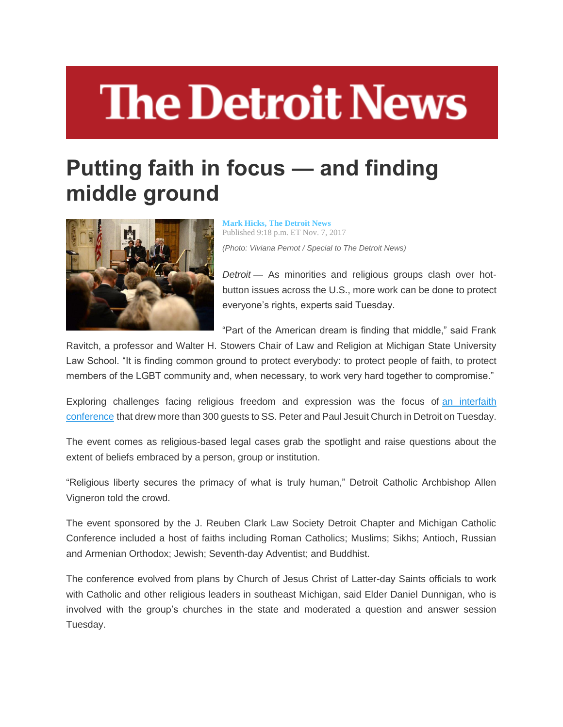## **The Detroit News**

## **Putting faith in focus — and finding middle ground**



**[Mark Hicks, The Detroit News](http://www.detroitnews.com/staff/27533/mark-hicks)** Published 9:18 p.m. ET Nov. 7, 2017 *(Photo: Viviana Pernot / Special to The Detroit News)*

*Detroit* — As minorities and religious groups clash over hotbutton issues across the U.S., more work can be done to protect everyone's rights, experts said Tuesday.

"Part of the American dream is finding that middle," said Frank

Ravitch, a professor and Walter H. Stowers Chair of Law and Religion at Michigan State University Law School. "It is finding common ground to protect everybody: to protect people of faith, to protect members of the LGBT community and, when necessary, to work very hard together to compromise."

Exploring challenges facing religious freedom and expression was the focus of [an interfaith](https://www.facebook.com/interfaithmi/)  [conference](https://www.facebook.com/interfaithmi/) that drew more than 300 guests to SS. Peter and Paul Jesuit Church in Detroit on Tuesday.

The event comes as religious-based legal cases grab the spotlight and raise questions about the extent of beliefs embraced by a person, group or institution.

"Religious liberty secures the primacy of what is truly human," Detroit Catholic Archbishop Allen Vigneron told the crowd.

The event sponsored by the J. Reuben Clark Law Society Detroit Chapter and Michigan Catholic Conference included a host of faiths including Roman Catholics; Muslims; Sikhs; Antioch, Russian and Armenian Orthodox; Jewish; Seventh-day Adventist; and Buddhist.

The conference evolved from plans by Church of Jesus Christ of Latter-day Saints officials to work with Catholic and other religious leaders in southeast Michigan, said Elder Daniel Dunnigan, who is involved with the group's churches in the state and moderated a question and answer session Tuesday.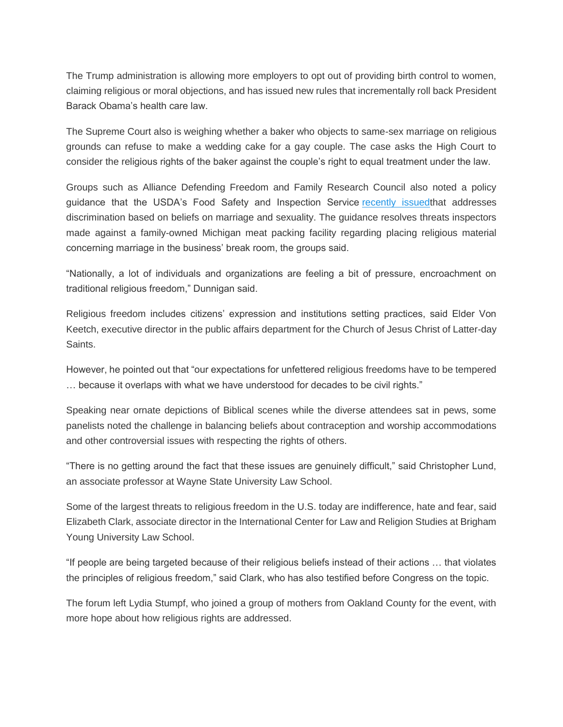The Trump administration is allowing more employers to opt out of providing birth control to women, claiming religious or moral objections, and has issued new rules that incrementally roll back President Barack Obama's health care law.

The Supreme Court also is weighing whether a baker who objects to same-sex marriage on religious grounds can refuse to make a wedding cake for a gay couple. The case asks the High Court to consider the religious rights of the baker against the couple's right to equal treatment under the law.

Groups such as Alliance Defending Freedom and Family Research Council also noted a policy guidance that the USDA's Food Safety and Inspection Service [recently issuedt](https://www.fsis.usda.gov/wps/portal/informational/aboutfsis/civil-rights/policy-statements/first-amendment-q-and-a/first-amendment-and-religious-beliefs)hat addresses discrimination based on beliefs on marriage and sexuality. The guidance resolves threats inspectors made against a family-owned Michigan meat packing facility regarding placing religious material concerning marriage in the business' break room, the groups said.

"Nationally, a lot of individuals and organizations are feeling a bit of pressure, encroachment on traditional religious freedom," Dunnigan said.

Religious freedom includes citizens' expression and institutions setting practices, said Elder Von Keetch, executive director in the public affairs department for the Church of Jesus Christ of Latter-day Saints.

However, he pointed out that "our expectations for unfettered religious freedoms have to be tempered … because it overlaps with what we have understood for decades to be civil rights."

Speaking near ornate depictions of Biblical scenes while the diverse attendees sat in pews, some panelists noted the challenge in balancing beliefs about contraception and worship accommodations and other controversial issues with respecting the rights of others.

"There is no getting around the fact that these issues are genuinely difficult," said Christopher Lund, an associate professor at Wayne State University Law School.

Some of the largest threats to religious freedom in the U.S. today are indifference, hate and fear, said Elizabeth Clark, associate director in the International Center for Law and Religion Studies at Brigham Young University Law School.

"If people are being targeted because of their religious beliefs instead of their actions … that violates the principles of religious freedom," said Clark, who has also testified before Congress on the topic.

The forum left Lydia Stumpf, who joined a group of mothers from Oakland County for the event, with more hope about how religious rights are addressed.